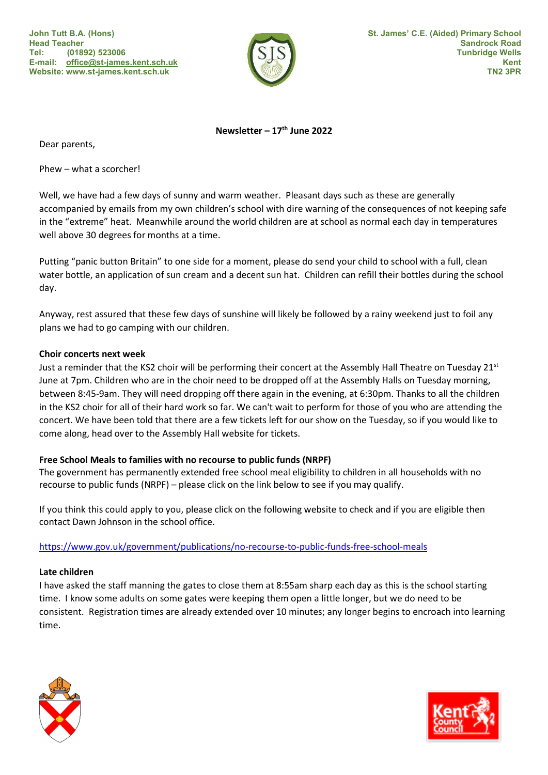

Newsletter –  $17<sup>th</sup>$  June 2022

Dear parents,

Phew – what a scorcher!

Well, we have had a few days of sunny and warm weather. Pleasant days such as these are generally accompanied by emails from my own children's school with dire warning of the consequences of not keeping safe in the "extreme" heat. Meanwhile around the world children are at school as normal each day in temperatures well above 30 degrees for months at a time.

Putting "panic button Britain" to one side for a moment, please do send your child to school with a full, clean water bottle, an application of sun cream and a decent sun hat. Children can refill their bottles during the school day.

Anyway, rest assured that these few days of sunshine will likely be followed by a rainy weekend just to foil any plans we had to go camping with our children.

# Choir concerts next week

Just a reminder that the KS2 choir will be performing their concert at the Assembly Hall Theatre on Tuesday 21<sup>st</sup> June at 7pm. Children who are in the choir need to be dropped off at the Assembly Halls on Tuesday morning, between 8:45-9am. They will need dropping off there again in the evening, at 6:30pm. Thanks to all the children in the KS2 choir for all of their hard work so far. We can't wait to perform for those of you who are attending the concert. We have been told that there are a few tickets left for our show on the Tuesday, so if you would like to come along, head over to the Assembly Hall website for tickets.

# Free School Meals to families with no recourse to public funds (NRPF)

The government has permanently extended free school meal eligibility to children in all households with no recourse to public funds (NRPF) – please click on the link below to see if you may qualify.

If you think this could apply to you, please click on the following website to check and if you are eligible then contact Dawn Johnson in the school office.

https://www.gov.uk/government/publications/no-recourse-to-public-funds-free-school-meals

# Late children

I have asked the staff manning the gates to close them at 8:55am sharp each day as this is the school starting time. I know some adults on some gates were keeping them open a little longer, but we do need to be consistent. Registration times are already extended over 10 minutes; any longer begins to encroach into learning time.



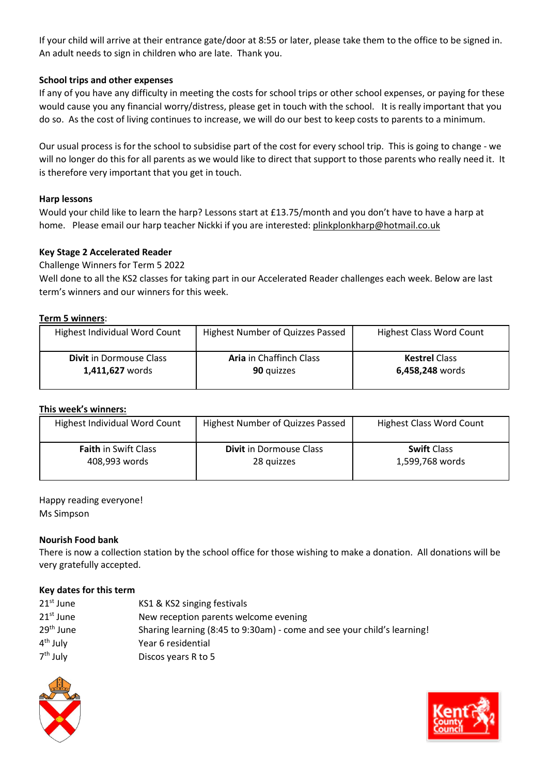If your child will arrive at their entrance gate/door at 8:55 or later, please take them to the office to be signed in. An adult needs to sign in children who are late. Thank you.

# School trips and other expenses

If any of you have any difficulty in meeting the costs for school trips or other school expenses, or paying for these would cause you any financial worry/distress, please get in touch with the school. It is really important that you do so. As the cost of living continues to increase, we will do our best to keep costs to parents to a minimum.

Our usual process is for the school to subsidise part of the cost for every school trip. This is going to change - we will no longer do this for all parents as we would like to direct that support to those parents who really need it. It is therefore very important that you get in touch.

## Harp lessons

Would your child like to learn the harp? Lessons start at £13.75/month and you don't have to have a harp at home. Please email our harp teacher Nickki if you are interested: plinkplonkharp@hotmail.co.uk

## Key Stage 2 Accelerated Reader

Challenge Winners for Term 5 2022

Well done to all the KS2 classes for taking part in our Accelerated Reader challenges each week. Below are last term's winners and our winners for this week.

#### Term 5 winners:

| Highest Individual Word Count  | Highest Number of Quizzes Passed | <b>Highest Class Word Count</b> |
|--------------------------------|----------------------------------|---------------------------------|
| <b>Divit</b> in Dormouse Class | <b>Aria</b> in Chaffinch Class   | <b>Kestrel Class</b>            |
| 1,411,627 words                | 90 quizzes                       | 6,458,248 words                 |

#### This week's winners:

| Highest Individual Word Count | Highest Number of Quizzes Passed | <b>Highest Class Word Count</b> |
|-------------------------------|----------------------------------|---------------------------------|
| <b>Faith in Swift Class</b>   | <b>Divit</b> in Dormouse Class   | <b>Swift Class</b>              |
| 408,993 words                 | 28 quizzes                       | 1,599,768 words                 |

## Happy reading everyone! Ms Simpson

#### Nourish Food bank

There is now a collection station by the school office for those wishing to make a donation. All donations will be very gratefully accepted.

# Key dates for this term

| $21st$ June           | KS1 & KS2 singing festivals                                             |
|-----------------------|-------------------------------------------------------------------------|
| $21st$ June           | New reception parents welcome evening                                   |
| 29 <sup>th</sup> June | Sharing learning (8:45 to 9:30am) - come and see your child's learning! |
| 4 <sup>th</sup> July  | Year 6 residential                                                      |
| 7 <sup>th</sup> July  | Discos years R to 5                                                     |